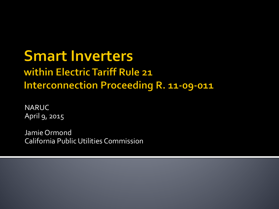#### **Smart Inverters** within Electric Tariff Rule 21 **Interconnection Proceeding R. 11-09-011**

NARUC April 9, 2015

Jamie Ormond California Public Utilities Commission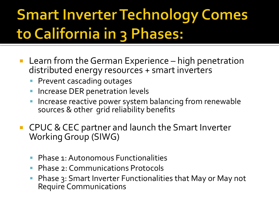## **Smart Inverter Technology Comes** to California in 3 Phases:

- Learn from the German Experience high penetration distributed energy resources + smart inverters
	- **Prevent cascading outages**
	- Increase DER penetration levels
	- Increase reactive power system balancing from renewable sources & other grid reliability benefits
- CPUC & CEC partner and launch the Smart Inverter Working Group (SIWG)
	- Phase 1: Autonomous Functionalities
	- Phase 2: Communications Protocols
	- Phase 3: Smart Inverter Functionalities that May or May not Require Communications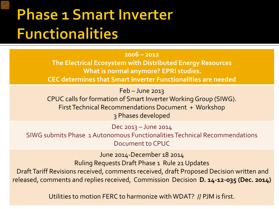#### **Phase 1 Smart Inverter Functionalities**

#### **2006 – 2012**

**The Electrical Ecosystem with Distributed Energy Resources What is normal anymore? EPRI studies. CEC determines that Smart Inverter Functionalities are needed**

Feb – June 2013

CPUC calls for formation of Smart Inverter Working Group (SIWG). First Technical Recommendations Document + Workshop 3 Phases developed

Dec 2013 – June 2014 SIWG submits Phase 1 Autonomous Functionalities Technical Recommendations Document to CPUC

June 2014-December 18 2014 Ruling Requests Draft Phase 1 Rule 21 Updates Draft Tariff Revisions received, comments received, draft Proposed Decision written and released, comments and replies received, Commission Decision **D. 14-12-035 (Dec. 2014)**

Utilities to motion FERC to harmonize with WDAT? // PJM is first.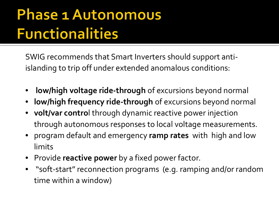### **Phase 1 Autonomous Functionalities**

SWIG recommends that Smart Inverters should support antiislanding to trip off under extended anomalous conditions:

- **low/high voltage ride-through** of excursions beyond normal
- **low/high frequency ride-through** of excursions beyond normal
- **volt/var contro**l through dynamic reactive power injection through autonomous responses to local voltage measurements.
- program default and emergency **ramp rates** withhigh and low limits
- Provide **reactive power** by a fixed power factor.
- "soft-start" reconnection programs (e.g. ramping and/or random time within a window)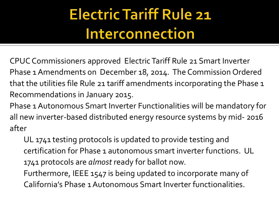## **Electric Tariff Rule 21** Interconnection

CPUC Commissioners approved Electric Tariff Rule 21 Smart Inverter Phase 1 Amendments on December 18, 2014. The Commission Ordered that the utilities file Rule 21 tariff amendments incorporating the Phase 1 Recommendations in January 2015.

Phase 1 Autonomous Smart Inverter Functionalities will be mandatory for all new inverter-based distributed energy resource systems by mid- 2016 after

UL 1741 testing protocols is updated to provide testing and certification for Phase 1 autonomous smart inverter functions. UL 1741 protocols are *almost* ready for ballot now.

Furthermore, IEEE 1547 is being updated to incorporate many of California's Phase 1 Autonomous Smart Inverter functionalities.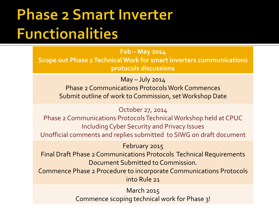#### **Phase 2 Smart Inverter Functionalities**

**Feb – May 2014 Scope out Phase 2 Technical Work for smart inverters communications protocols discussions**

 $May - July 2014$ 

Phase 2 Communications Protocols Work Commences Submit outline of work to Commission, set Workshop Date

October 27, 2014

Phase 2 Communications Protocols Technical Workshop held at CPUC Including Cyber Security and Privacy Issues Unofficial comments and replies submitted to SIWG on draft document

February 2015

Final Draft Phase 2 Communications Protocols Technical Requirements Document Submitted to Commission.

Commence Phase 2 Procedure to incorporate Communications Protocols into Rule 21

> March 2015 Commence scoping technical work for Phase 3!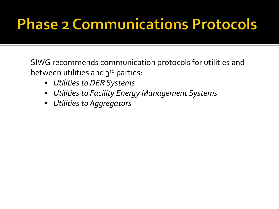### **Phase 2 Communications Protocols**

SIWG recommends communication protocols for utilities and between utilities and  $3<sup>rd</sup>$  parties:

- *Utilities to DER Systems*
- *Utilities to Facility Energy Management Systems*
- *Utilities to Aggregators*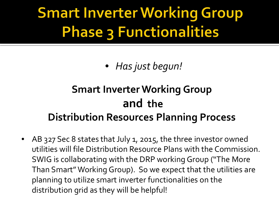### **Smart Inverter Working Group Phase 3 Functionalities**

• *Has just begun!*

#### **Smart Inverter Working Group and the Distribution Resources Planning Process**

• AB 327 Sec 8 states that July 1, 2015, the three investor owned utilities will file Distribution Resource Plans with the Commission. SWIG is collaborating with the DRP working Group ("The More Than Smart" Working Group). So we expect that the utilities are planning to utilize smart inverter functionalities on the distribution grid as they will be helpful!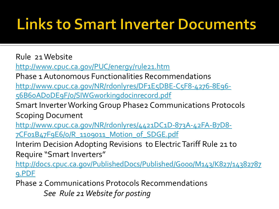#### **Links to Smart Inverter Documents**

Rule 21 Website

<http://www.cpuc.ca.gov/PUC/energy/rule21.htm>

Phase 1 Autonomous Functionalities Recommendations

[http://www.cpuc.ca.gov/NR/rdonlyres/DF1E5DBE-C5F8-4276-8E96-](http://www.cpuc.ca.gov/NR/rdonlyres/DF1E5DBE-C5F8-4276-8E96-56B60AD0DE9F/0/SIWGworkingdocinrecord.pdf)

[56B60AD0DE9F/0/SIWGworkingdocinrecord.pdf](http://www.cpuc.ca.gov/NR/rdonlyres/DF1E5DBE-C5F8-4276-8E96-56B60AD0DE9F/0/SIWGworkingdocinrecord.pdf)

Smart Inverter Working Group Phase2 Communications Protocols Scoping Document

[http://www.cpuc.ca.gov/NR/rdonlyres/4421DC1D-873A-42FA-B7D8-](http://www.cpuc.ca.gov/NR/rdonlyres/4421DC1D-873A-42FA-B7D8-7CF01B47F9E6/0/R_1109011_Motion_of_SDGE.pdf) [7CF01B47F9E6/0/R\\_1109011\\_Motion\\_of\\_SDGE.pdf](http://www.cpuc.ca.gov/NR/rdonlyres/4421DC1D-873A-42FA-B7D8-7CF01B47F9E6/0/R_1109011_Motion_of_SDGE.pdf)

Interim Decision Adopting Revisions to Electric Tariff Rule 21 to Require "Smart Inverters"

[http://docs.cpuc.ca.gov/PublishedDocs/Published/G000/M143/K827/14382787](http://docs.cpuc.ca.gov/PublishedDocs/Published/G000/M143/K827/143827879.PDF) [9.PDF](http://docs.cpuc.ca.gov/PublishedDocs/Published/G000/M143/K827/143827879.PDF)

Phase 2 Communications Protocols Recommendations *See Rule 21 Website for posting*